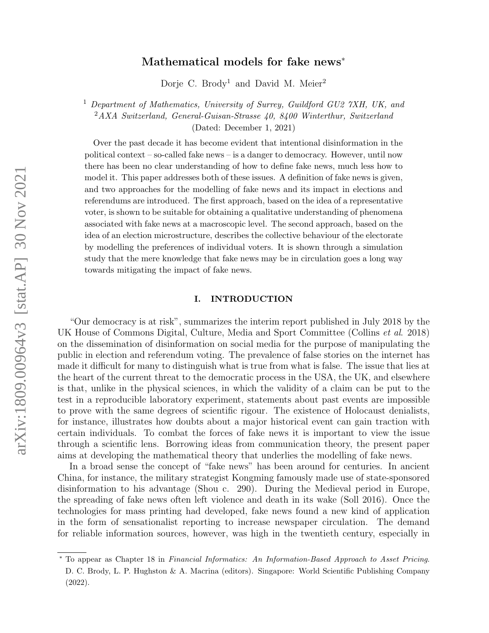# Mathematical models for fake news<sup>∗</sup>

Dorje C. Brody<sup>1</sup> and David M. Meier<sup>2</sup>

<sup>1</sup> Department of Mathematics, University of Surrey, Guildford GU2 7XH, UK, and <sup>2</sup>AXA Switzerland, General-Guisan-Strasse 40, 8400 Winterthur, Switzerland (Dated: December 1, 2021)

Over the past decade it has become evident that intentional disinformation in the political context – so-called fake news – is a danger to democracy. However, until now there has been no clear understanding of how to define fake news, much less how to model it. This paper addresses both of these issues. A definition of fake news is given, and two approaches for the modelling of fake news and its impact in elections and referendums are introduced. The first approach, based on the idea of a representative voter, is shown to be suitable for obtaining a qualitative understanding of phenomena associated with fake news at a macroscopic level. The second approach, based on the idea of an election microstructure, describes the collective behaviour of the electorate by modelling the preferences of individual voters. It is shown through a simulation study that the mere knowledge that fake news may be in circulation goes a long way towards mitigating the impact of fake news.

# I. INTRODUCTION

"Our democracy is at risk", summarizes the interim report published in July 2018 by the UK House of Commons Digital, Culture, Media and Sport Committee (Collins et al. 2018) on the dissemination of disinformation on social media for the purpose of manipulating the public in election and referendum voting. The prevalence of false stories on the internet has made it difficult for many to distinguish what is true from what is false. The issue that lies at the heart of the current threat to the democratic process in the USA, the UK, and elsewhere is that, unlike in the physical sciences, in which the validity of a claim can be put to the test in a reproducible laboratory experiment, statements about past events are impossible to prove with the same degrees of scientific rigour. The existence of Holocaust denialists, for instance, illustrates how doubts about a major historical event can gain traction with certain individuals. To combat the forces of fake news it is important to view the issue through a scientific lens. Borrowing ideas from communication theory, the present paper aims at developing the mathematical theory that underlies the modelling of fake news.

In a broad sense the concept of "fake news" has been around for centuries. In ancient China, for instance, the military strategist Kongming famously made use of state-sponsored disinformation to his advantage (Shou c. 290). During the Medieval period in Europe, the spreading of fake news often left violence and death in its wake (Soll 2016). Once the technologies for mass printing had developed, fake news found a new kind of application in the form of sensationalist reporting to increase newspaper circulation. The demand for reliable information sources, however, was high in the twentieth century, especially in

<sup>∗</sup> To appear as Chapter 18 in Financial Informatics: An Information-Based Approach to Asset Pricing. D. C. Brody, L. P. Hughston & A. Macrina (editors). Singapore: World Scientific Publishing Company (2022).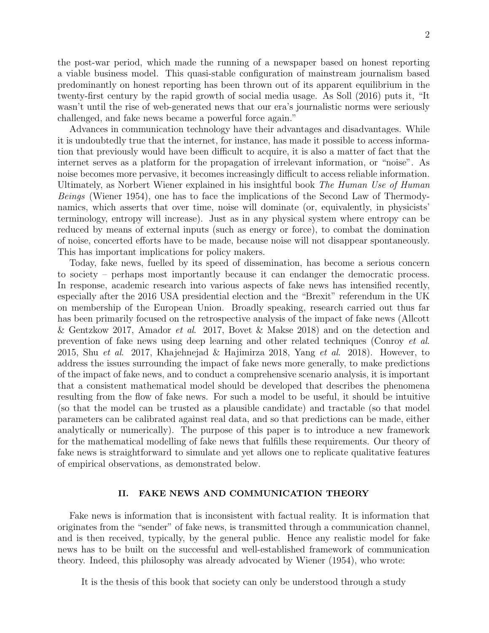2

the post-war period, which made the running of a newspaper based on honest reporting a viable business model. This quasi-stable configuration of mainstream journalism based predominantly on honest reporting has been thrown out of its apparent equilibrium in the twenty-first century by the rapid growth of social media usage. As Soll (2016) puts it, "It wasn't until the rise of web-generated news that our era's journalistic norms were seriously challenged, and fake news became a powerful force again."

Advances in communication technology have their advantages and disadvantages. While it is undoubtedly true that the internet, for instance, has made it possible to access information that previously would have been difficult to acquire, it is also a matter of fact that the internet serves as a platform for the propagation of irrelevant information, or "noise". As noise becomes more pervasive, it becomes increasingly difficult to access reliable information. Ultimately, as Norbert Wiener explained in his insightful book The Human Use of Human Beings (Wiener 1954), one has to face the implications of the Second Law of Thermodynamics, which asserts that over time, noise will dominate (or, equivalently, in physicists' terminology, entropy will increase). Just as in any physical system where entropy can be reduced by means of external inputs (such as energy or force), to combat the domination of noise, concerted efforts have to be made, because noise will not disappear spontaneously. This has important implications for policy makers.

Today, fake news, fuelled by its speed of dissemination, has become a serious concern to society – perhaps most importantly because it can endanger the democratic process. In response, academic research into various aspects of fake news has intensified recently, especially after the 2016 USA presidential election and the "Brexit" referendum in the UK on membership of the European Union. Broadly speaking, research carried out thus far has been primarily focused on the retrospective analysis of the impact of fake news (Allcott & Gentzkow 2017, Amador et al. 2017, Bovet & Makse 2018) and on the detection and prevention of fake news using deep learning and other related techniques (Conroy et al. 2015, Shu et al. 2017, Khajehnejad & Hajimirza 2018, Yang et al. 2018). However, to address the issues surrounding the impact of fake news more generally, to make predictions of the impact of fake news, and to conduct a comprehensive scenario analysis, it is important that a consistent mathematical model should be developed that describes the phenomena resulting from the flow of fake news. For such a model to be useful, it should be intuitive (so that the model can be trusted as a plausible candidate) and tractable (so that model parameters can be calibrated against real data, and so that predictions can be made, either analytically or numerically). The purpose of this paper is to introduce a new framework for the mathematical modelling of fake news that fulfills these requirements. Our theory of fake news is straightforward to simulate and yet allows one to replicate qualitative features of empirical observations, as demonstrated below.

# II. FAKE NEWS AND COMMUNICATION THEORY

Fake news is information that is inconsistent with factual reality. It is information that originates from the "sender" of fake news, is transmitted through a communication channel, and is then received, typically, by the general public. Hence any realistic model for fake news has to be built on the successful and well-established framework of communication theory. Indeed, this philosophy was already advocated by Wiener (1954), who wrote:

It is the thesis of this book that society can only be understood through a study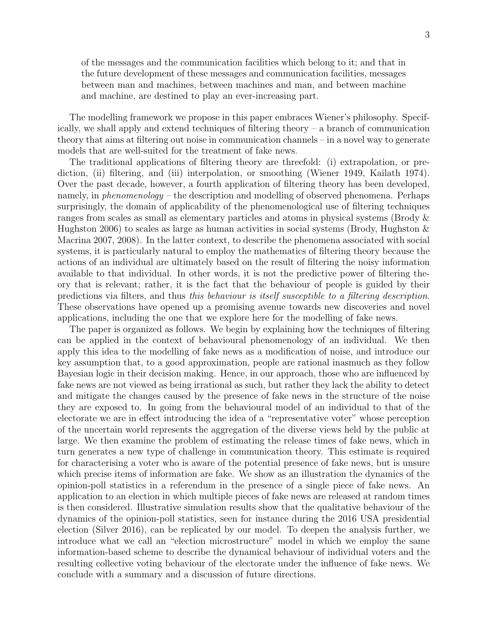of the messages and the communication facilities which belong to it; and that in the future development of these messages and communication facilities, messages between man and machines, between machines and man, and between machine and machine, are destined to play an ever-increasing part.

The modelling framework we propose in this paper embraces Wiener's philosophy. Specifically, we shall apply and extend techniques of filtering theory – a branch of communication theory that aims at filtering out noise in communication channels – in a novel way to generate models that are well-suited for the treatment of fake news.

The traditional applications of filtering theory are threefold: (i) extrapolation, or prediction, (ii) filtering, and (iii) interpolation, or smoothing (Wiener 1949, Kailath 1974). Over the past decade, however, a fourth application of filtering theory has been developed, namely, in *phenomenology* – the description and modelling of observed phenomena. Perhaps surprisingly, the domain of applicability of the phenomenological use of filtering techniques ranges from scales as small as elementary particles and atoms in physical systems (Brody & Hughston 2006) to scales as large as human activities in social systems (Brody, Hughston  $\&$ Macrina 2007, 2008). In the latter context, to describe the phenomena associated with social systems, it is particularly natural to employ the mathematics of filtering theory because the actions of an individual are ultimately based on the result of filtering the noisy information available to that individual. In other words, it is not the predictive power of filtering theory that is relevant; rather, it is the fact that the behaviour of people is guided by their predictions via filters, and thus this behaviour is itself susceptible to a filtering description. These observations have opened up a promising avenue towards new discoveries and novel applications, including the one that we explore here for the modelling of fake news.

The paper is organized as follows. We begin by explaining how the techniques of filtering can be applied in the context of behavioural phenomenology of an individual. We then apply this idea to the modelling of fake news as a modification of noise, and introduce our key assumption that, to a good approximation, people are rational inasmuch as they follow Bayesian logic in their decision making. Hence, in our approach, those who are influenced by fake news are not viewed as being irrational as such, but rather they lack the ability to detect and mitigate the changes caused by the presence of fake news in the structure of the noise they are exposed to. In going from the behavioural model of an individual to that of the electorate we are in effect introducing the idea of a "representative voter" whose perception of the uncertain world represents the aggregation of the diverse views held by the public at large. We then examine the problem of estimating the release times of fake news, which in turn generates a new type of challenge in communication theory. This estimate is required for characterising a voter who is aware of the potential presence of fake news, but is unsure which precise items of information are fake. We show as an illustration the dynamics of the opinion-poll statistics in a referendum in the presence of a single piece of fake news. An application to an election in which multiple pieces of fake news are released at random times is then considered. Illustrative simulation results show that the qualitative behaviour of the dynamics of the opinion-poll statistics, seen for instance during the 2016 USA presidential election (Silver 2016), can be replicated by our model. To deepen the analysis further, we introduce what we call an "election microstructure" model in which we employ the same information-based scheme to describe the dynamical behaviour of individual voters and the resulting collective voting behaviour of the electorate under the influence of fake news. We conclude with a summary and a discussion of future directions.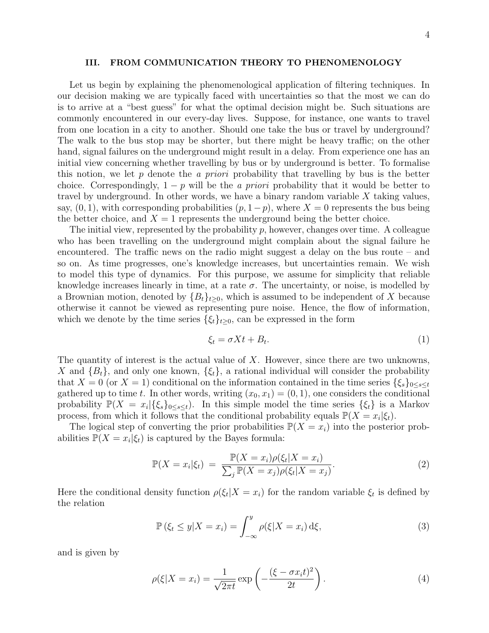# III. FROM COMMUNICATION THEORY TO PHENOMENOLOGY

Let us begin by explaining the phenomenological application of filtering techniques. In our decision making we are typically faced with uncertainties so that the most we can do is to arrive at a "best guess" for what the optimal decision might be. Such situations are commonly encountered in our every-day lives. Suppose, for instance, one wants to travel from one location in a city to another. Should one take the bus or travel by underground? The walk to the bus stop may be shorter, but there might be heavy traffic; on the other hand, signal failures on the underground might result in a delay. From experience one has an initial view concerning whether travelling by bus or by underground is better. To formalise this notion, we let p denote the a priori probability that travelling by bus is the better choice. Correspondingly,  $1 - p$  will be the *a priori* probability that it would be better to travel by underground. In other words, we have a binary random variable  $X$  taking values, say,  $(0, 1)$ , with corresponding probabilities  $(p, 1-p)$ , where  $X = 0$  represents the bus being the better choice, and  $X = 1$  represents the underground being the better choice.

The initial view, represented by the probability  $p$ , however, changes over time. A colleague who has been travelling on the underground might complain about the signal failure he encountered. The traffic news on the radio might suggest a delay on the bus route – and so on. As time progresses, one's knowledge increases, but uncertainties remain. We wish to model this type of dynamics. For this purpose, we assume for simplicity that reliable knowledge increases linearly in time, at a rate  $\sigma$ . The uncertainty, or noise, is modelled by a Brownian motion, denoted by  ${B_t}_{t\geq0}$ , which is assumed to be independent of X because otherwise it cannot be viewed as representing pure noise. Hence, the flow of information, which we denote by the time series  $\{\xi_t\}_{t\geq 0}$ , can be expressed in the form

$$
\xi_t = \sigma X t + B_t. \tag{1}
$$

The quantity of interest is the actual value of X. However, since there are two unknowns, X and  ${B_t}$ , and only one known,  ${\xi_t}$ , a rational individual will consider the probability that  $X = 0$  (or  $X = 1$ ) conditional on the information contained in the time series  $\{\xi_s\}_{0 \leq s \leq t}$ gathered up to time t. In other words, writing  $(x_0, x_1) = (0, 1)$ , one considers the conditional probability  $\mathbb{P}(X = x_i | \{\xi_s\}_{0 \leq s \leq t})$ . In this simple model the time series  $\{\xi_t\}$  is a Markov process, from which it follows that the conditional probability equals  $\mathbb{P}(X = x_i | \xi_t)$ .

The logical step of converting the prior probabilities  $\mathbb{P}(X = x_i)$  into the posterior probabilities  $\mathbb{P}(X = x_i | \xi_t)$  is captured by the Bayes formula:

$$
\mathbb{P}(X = x_i|\xi_t) = \frac{\mathbb{P}(X = x_i)\rho(\xi_t|X = x_i)}{\sum_j \mathbb{P}(X = x_j)\rho(\xi_t|X = x_j)}.
$$
\n(2)

Here the conditional density function  $\rho(\xi_t|X=x_i)$  for the random variable  $\xi_t$  is defined by the relation

$$
\mathbb{P}\left(\xi_t \le y | X = x_i\right) = \int_{-\infty}^y \rho(\xi | X = x_i) \,d\xi,\tag{3}
$$

and is given by

$$
\rho(\xi|X=x_i) = \frac{1}{\sqrt{2\pi t}} \exp\left(-\frac{(\xi - \sigma x_i t)^2}{2t}\right). \tag{4}
$$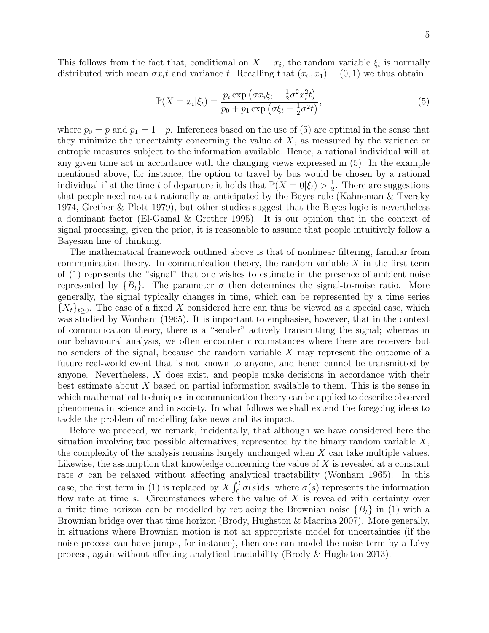This follows from the fact that, conditional on  $X = x_i$ , the random variable  $\xi_t$  is normally distributed with mean  $\sigma x_i t$  and variance t. Recalling that  $(x_0, x_1) = (0, 1)$  we thus obtain

$$
\mathbb{P}(X = x_i|\xi_t) = \frac{p_i \exp\left(\sigma x_i \xi_t - \frac{1}{2}\sigma^2 x_i^2 t\right)}{p_0 + p_1 \exp\left(\sigma \xi_t - \frac{1}{2}\sigma^2 t\right)},\tag{5}
$$

where  $p_0 = p$  and  $p_1 = 1-p$ . Inferences based on the use of (5) are optimal in the sense that they minimize the uncertainty concerning the value of  $X$ , as measured by the variance or entropic measures subject to the information available. Hence, a rational individual will at any given time act in accordance with the changing views expressed in (5). In the example mentioned above, for instance, the option to travel by bus would be chosen by a rational individual if at the time t of departure it holds that  $\mathbb{P}(X=0|\xi_t) > \frac{1}{2}$  $\frac{1}{2}$ . There are suggestions that people need not act rationally as anticipated by the Bayes rule (Kahneman & Tversky 1974, Grether & Plott 1979), but other studies suggest that the Bayes logic is nevertheless a dominant factor (El-Gamal & Grether 1995). It is our opinion that in the context of signal processing, given the prior, it is reasonable to assume that people intuitively follow a Bayesian line of thinking.

The mathematical framework outlined above is that of nonlinear filtering, familiar from communication theory. In communication theory, the random variable  $X$  in the first term of (1) represents the "signal" that one wishes to estimate in the presence of ambient noise represented by  $\{B_t\}$ . The parameter  $\sigma$  then determines the signal-to-noise ratio. More generally, the signal typically changes in time, which can be represented by a time series  ${X_t}_{t\geq0}$ . The case of a fixed X considered here can thus be viewed as a special case, which was studied by Wonham (1965). It is important to emphasise, however, that in the context of communication theory, there is a "sender" actively transmitting the signal; whereas in our behavioural analysis, we often encounter circumstances where there are receivers but no senders of the signal, because the random variable X may represent the outcome of a future real-world event that is not known to anyone, and hence cannot be transmitted by anyone. Nevertheless, X does exist, and people make decisions in accordance with their best estimate about  $X$  based on partial information available to them. This is the sense in which mathematical techniques in communication theory can be applied to describe observed phenomena in science and in society. In what follows we shall extend the foregoing ideas to tackle the problem of modelling fake news and its impact.

Before we proceed, we remark, incidentally, that although we have considered here the situation involving two possible alternatives, represented by the binary random variable  $X$ , the complexity of the analysis remains largely unchanged when  $X$  can take multiple values. Likewise, the assumption that knowledge concerning the value of  $X$  is revealed at a constant rate  $\sigma$  can be relaxed without affecting analytical tractability (Wonham 1965). In this case, the first term in (1) is replaced by  $X \int_0^t \sigma(s) ds$ , where  $\sigma(s)$  represents the information flow rate at time s. Circumstances where the value of  $X$  is revealed with certainty over a finite time horizon can be modelled by replacing the Brownian noise  ${B_t}$  in (1) with a Brownian bridge over that time horizon (Brody, Hughston & Macrina 2007). More generally, in situations where Brownian motion is not an appropriate model for uncertainties (if the noise process can have jumps, for instance), then one can model the noise term by a Lévy process, again without affecting analytical tractability (Brody & Hughston 2013).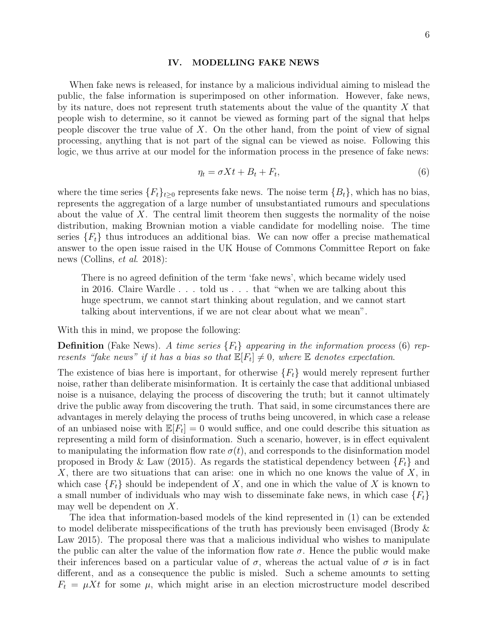#### IV. MODELLING FAKE NEWS

When fake news is released, for instance by a malicious individual aiming to mislead the public, the false information is superimposed on other information. However, fake news, by its nature, does not represent truth statements about the value of the quantity  $X$  that people wish to determine, so it cannot be viewed as forming part of the signal that helps people discover the true value of  $X$ . On the other hand, from the point of view of signal processing, anything that is not part of the signal can be viewed as noise. Following this logic, we thus arrive at our model for the information process in the presence of fake news:

$$
\eta_t = \sigma X t + B_t + F_t,\tag{6}
$$

where the time series  ${F_t}_{t\geq0}$  represents fake news. The noise term  ${B_t}$ , which has no bias, represents the aggregation of a large number of unsubstantiated rumours and speculations about the value of  $X$ . The central limit theorem then suggests the normality of the noise distribution, making Brownian motion a viable candidate for modelling noise. The time series  ${F<sub>t</sub>}$  thus introduces an additional bias. We can now offer a precise mathematical answer to the open issue raised in the UK House of Commons Committee Report on fake news (Collins, et al. 2018):

There is no agreed definition of the term 'fake news', which became widely used in 2016. Claire Wardle . . . told us . . . that "when we are talking about this huge spectrum, we cannot start thinking about regulation, and we cannot start talking about interventions, if we are not clear about what we mean".

With this in mind, we propose the following:

**Definition** (Fake News). A time series  ${F_t}$  appearing in the information process (6) represents "fake news" if it has a bias so that  $\mathbb{E}[F_t] \neq 0$ , where  $\mathbb E$  denotes expectation.

The existence of bias here is important, for otherwise  $\{F_t\}$  would merely represent further noise, rather than deliberate misinformation. It is certainly the case that additional unbiased noise is a nuisance, delaying the process of discovering the truth; but it cannot ultimately drive the public away from discovering the truth. That said, in some circumstances there are advantages in merely delaying the process of truths being uncovered, in which case a release of an unbiased noise with  $\mathbb{E}[F_t] = 0$  would suffice, and one could describe this situation as representing a mild form of disinformation. Such a scenario, however, is in effect equivalent to manipulating the information flow rate  $\sigma(t)$ , and corresponds to the disinformation model proposed in Brody & Law (2015). As regards the statistical dependency between  ${F<sub>t</sub>}$  and X, there are two situations that can arise: one in which no one knows the value of X, in which case  ${F_t}$  should be independent of X, and one in which the value of X is known to a small number of individuals who may wish to disseminate fake news, in which case  ${F_t}$ may well be dependent on X.

The idea that information-based models of the kind represented in (1) can be extended to model deliberate misspecifications of the truth has previously been envisaged (Brody & Law 2015). The proposal there was that a malicious individual who wishes to manipulate the public can alter the value of the information flow rate  $\sigma$ . Hence the public would make their inferences based on a particular value of  $\sigma$ , whereas the actual value of  $\sigma$  is in fact different, and as a consequence the public is misled. Such a scheme amounts to setting  $F_t = \mu X t$  for some  $\mu$ , which might arise in an election microstructure model described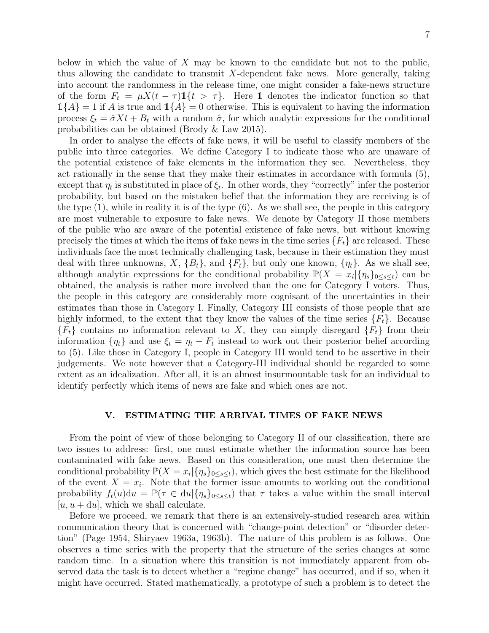below in which the value of  $X$  may be known to the candidate but not to the public, thus allowing the candidate to transmit X-dependent fake news. More generally, taking into account the randomness in the release time, one might consider a fake-news structure of the form  $F_t = \mu X(t - \tau) \mathbb{1}\{t > \tau\}$ . Here 1 denotes the indicator function so that  $1{A} = 1$  if A is true and  $1{A} = 0$  otherwise. This is equivalent to having the information process  $\xi_t = \hat{\sigma} X t + B_t$  with a random  $\hat{\sigma}$ , for which analytic expressions for the conditional probabilities can be obtained (Brody & Law 2015).

In order to analyse the effects of fake news, it will be useful to classify members of the public into three categories. We define Category I to indicate those who are unaware of the potential existence of fake elements in the information they see. Nevertheless, they act rationally in the sense that they make their estimates in accordance with formula (5), except that  $\eta_t$  is substituted in place of  $\xi_t$ . In other words, they "correctly" infer the posterior probability, but based on the mistaken belief that the information they are receiving is of the type  $(1)$ , while in reality it is of the type  $(6)$ . As we shall see, the people in this category are most vulnerable to exposure to fake news. We denote by Category II those members of the public who are aware of the potential existence of fake news, but without knowing precisely the times at which the items of fake news in the time series  $\{F_t\}$  are released. These individuals face the most technically challenging task, because in their estimation they must deal with three unknowns,  $X$ ,  ${B_t}$ , and  ${F_t}$ , but only one known,  ${\eta_t}$ . As we shall see, although analytic expressions for the conditional probability  $\mathbb{P}(X = x_i | {\{\eta_s\}_{0 \le s \le t}})$  can be obtained, the analysis is rather more involved than the one for Category I voters. Thus, the people in this category are considerably more cognisant of the uncertainties in their estimates than those in Category I. Finally, Category III consists of those people that are highly informed, to the extent that they know the values of the time series  $\{F_t\}$ . Because  ${F_t}$  contains no information relevant to X, they can simply disregard  ${F_t}$  from their information  $\{\eta_t\}$  and use  $\xi_t = \eta_t - F_t$  instead to work out their posterior belief according to (5). Like those in Category I, people in Category III would tend to be assertive in their judgements. We note however that a Category-III individual should be regarded to some extent as an idealization. After all, it is an almost insurmountable task for an individual to identify perfectly which items of news are fake and which ones are not.

# V. ESTIMATING THE ARRIVAL TIMES OF FAKE NEWS

From the point of view of those belonging to Category II of our classification, there are two issues to address: first, one must estimate whether the information source has been contaminated with fake news. Based on this consideration, one must then determine the conditional probability  $\mathbb{P}(X = x_i | {\eta_s}_{0 \leq s \leq t})$ , which gives the best estimate for the likelihood of the event  $X = x_i$ . Note that the former issue amounts to working out the conditional probability  $f_t(u)du = \mathbb{P}(\tau \in du | \{\eta_s\}_{0 \leq s \leq t})$  that  $\tau$  takes a value within the small interval  $[u, u + du]$ , which we shall calculate.

Before we proceed, we remark that there is an extensively-studied research area within communication theory that is concerned with "change-point detection" or "disorder detection" (Page 1954, Shiryaev 1963a, 1963b). The nature of this problem is as follows. One observes a time series with the property that the structure of the series changes at some random time. In a situation where this transition is not immediately apparent from observed data the task is to detect whether a "regime change" has occurred, and if so, when it might have occurred. Stated mathematically, a prototype of such a problem is to detect the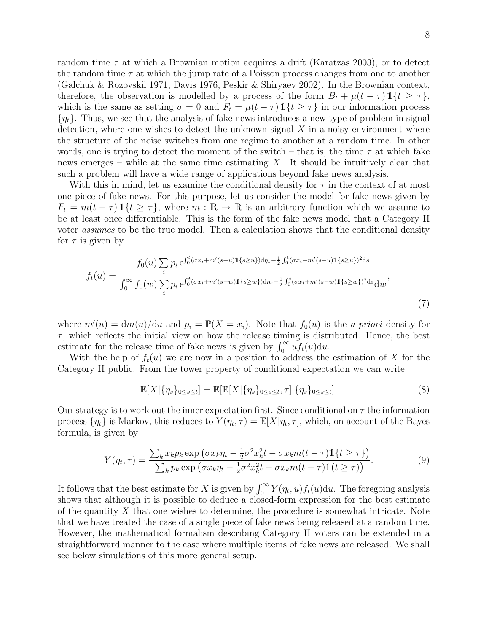random time  $\tau$  at which a Brownian motion acquires a drift (Karatzas 2003), or to detect the random time  $\tau$  at which the jump rate of a Poisson process changes from one to another (Galchuk & Rozovskii 1971, Davis 1976, Peskir & Shiryaev 2002). In the Brownian context, therefore, the observation is modelled by a process of the form  $B_t + \mu(t - \tau) \mathbb{1}\{t \geq \tau\}$ , which is the same as setting  $\sigma = 0$  and  $F_t = \mu(t - \tau) \mathbb{1}\{t \geq \tau\}$  in our information process  $\{\eta_t\}$ . Thus, we see that the analysis of fake news introduces a new type of problem in signal detection, where one wishes to detect the unknown signal  $X$  in a noisy environment where the structure of the noise switches from one regime to another at a random time. In other words, one is trying to detect the moment of the switch – that is, the time  $\tau$  at which fake news emerges – while at the same time estimating  $X$ . It should be intuitively clear that such a problem will have a wide range of applications beyond fake news analysis.

With this in mind, let us examine the conditional density for  $\tau$  in the context of at most one piece of fake news. For this purpose, let us consider the model for fake news given by  $F_t = m(t - \tau) \mathbb{1}{t \geq \tau}$ , where  $m : \mathbb{R} \to \mathbb{R}$  is an arbitrary function which we assume to be at least once differentiable. This is the form of the fake news model that a Category II voter *assumes* to be the true model. Then a calculation shows that the conditional density for  $\tau$  is given by

$$
f_t(u) = \frac{f_0(u) \sum_i p_i e^{\int_0^t (\sigma x_i + m'(s-u)) \mathbb{1}\{s \ge u\}} \mathrm{d}\eta_s - \frac{1}{2} \int_0^t (\sigma x_i + m'(s-u)) \mathbb{1}\{s \ge u\})^2 \mathrm{d}s}{\int_0^\infty f_0(w) \sum_i p_i e^{\int_0^t (\sigma x_i + m'(s-w)) \mathbb{1}\{s \ge w\}} \mathrm{d}\eta_s - \frac{1}{2} \int_0^t (\sigma x_i + m'(s-w)) \mathbb{1}\{s \ge w\}}^2 \mathrm{d}s} \mathrm{d}w},\tag{7}
$$

where  $m'(u) = dm(u)/du$  and  $p_i = \mathbb{P}(X = x_i)$ . Note that  $f_0(u)$  is the *a priori* density for  $\tau$ , which reflects the initial view on how the release timing is distributed. Hence, the best estimate for the release time of fake news is given by  $\int_0^\infty u f_t(u) \mathrm{d}u$ .

With the help of  $f_t(u)$  we are now in a position to address the estimation of X for the Category II public. From the tower property of conditional expectation we can write

$$
\mathbb{E}[X|\{\eta_s\}_{0\leq s\leq t}] = \mathbb{E}[\mathbb{E}[X|\{\eta_s\}_{0\leq s\leq t},\tau]|\{\eta_s\}_{0\leq s\leq t}].
$$
\n(8)

Our strategy is to work out the inner expectation first. Since conditional on  $\tau$  the information process  $\{\eta_t\}$  is Markov, this reduces to  $Y(\eta_t, \tau) = \mathbb{E}[X|\eta_t, \tau]$ , which, on account of the Bayes formula, is given by

$$
Y(\eta_t, \tau) = \frac{\sum_k x_k p_k \exp\left(\sigma x_k \eta_t - \frac{1}{2}\sigma^2 x_k^2 t - \sigma x_k m(t - \tau)\mathbb{1}\{t \ge \tau\}\right)}{\sum_k p_k \exp\left(\sigma x_k \eta_t - \frac{1}{2}\sigma^2 x_k^2 t - \sigma x_k m(t - \tau)\mathbb{1}(t \ge \tau)\right)}.
$$
(9)

It follows that the best estimate for X is given by  $\int_0^\infty Y(\eta_t, u) f_t(u) \, du$ . The foregoing analysis shows that although it is possible to deduce a closed-form expression for the best estimate of the quantity  $X$  that one wishes to determine, the procedure is somewhat intricate. Note that we have treated the case of a single piece of fake news being released at a random time. However, the mathematical formalism describing Category II voters can be extended in a straightforward manner to the case where multiple items of fake news are released. We shall see below simulations of this more general setup.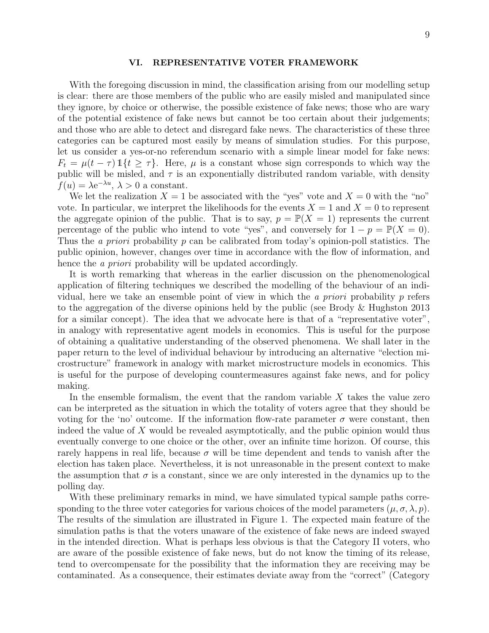### VI. REPRESENTATIVE VOTER FRAMEWORK

With the foregoing discussion in mind, the classification arising from our modelling setup is clear: there are those members of the public who are easily misled and manipulated since they ignore, by choice or otherwise, the possible existence of fake news; those who are wary of the potential existence of fake news but cannot be too certain about their judgements; and those who are able to detect and disregard fake news. The characteristics of these three categories can be captured most easily by means of simulation studies. For this purpose, let us consider a yes-or-no referendum scenario with a simple linear model for fake news:  $F_t = \mu(t - \tau) \mathbb{1}\{t \geq \tau\}$ . Here,  $\mu$  is a constant whose sign corresponds to which way the public will be misled, and  $\tau$  is an exponentially distributed random variable, with density  $f(u) = \lambda e^{-\lambda u}, \lambda > 0$  a constant.

We let the realization  $X = 1$  be associated with the "yes" vote and  $X = 0$  with the "no" vote. In particular, we interpret the likelihoods for the events  $X = 1$  and  $X = 0$  to represent the aggregate opinion of the public. That is to say,  $p = \mathbb{P}(X = 1)$  represents the current percentage of the public who intend to vote "yes", and conversely for  $1 - p = \mathbb{P}(X = 0)$ . Thus the *a priori* probability p can be calibrated from today's opinion-poll statistics. The public opinion, however, changes over time in accordance with the flow of information, and hence the *a priori* probability will be updated accordingly.

It is worth remarking that whereas in the earlier discussion on the phenomenological application of filtering techniques we described the modelling of the behaviour of an individual, here we take an ensemble point of view in which the *a priori* probability  $p$  refers to the aggregation of the diverse opinions held by the public (see Brody & Hughston 2013 for a similar concept). The idea that we advocate here is that of a "representative voter", in analogy with representative agent models in economics. This is useful for the purpose of obtaining a qualitative understanding of the observed phenomena. We shall later in the paper return to the level of individual behaviour by introducing an alternative "election microstructure" framework in analogy with market microstructure models in economics. This is useful for the purpose of developing countermeasures against fake news, and for policy making.

In the ensemble formalism, the event that the random variable  $X$  takes the value zero can be interpreted as the situation in which the totality of voters agree that they should be voting for the 'no' outcome. If the information flow-rate parameter  $\sigma$  were constant, then indeed the value of X would be revealed asymptotically, and the public opinion would thus eventually converge to one choice or the other, over an infinite time horizon. Of course, this rarely happens in real life, because  $\sigma$  will be time dependent and tends to vanish after the election has taken place. Nevertheless, it is not unreasonable in the present context to make the assumption that  $\sigma$  is a constant, since we are only interested in the dynamics up to the polling day.

With these preliminary remarks in mind, we have simulated typical sample paths corresponding to the three voter categories for various choices of the model parameters  $(\mu, \sigma, \lambda, p)$ . The results of the simulation are illustrated in Figure 1. The expected main feature of the simulation paths is that the voters unaware of the existence of fake news are indeed swayed in the intended direction. What is perhaps less obvious is that the Category II voters, who are aware of the possible existence of fake news, but do not know the timing of its release, tend to overcompensate for the possibility that the information they are receiving may be contaminated. As a consequence, their estimates deviate away from the "correct" (Category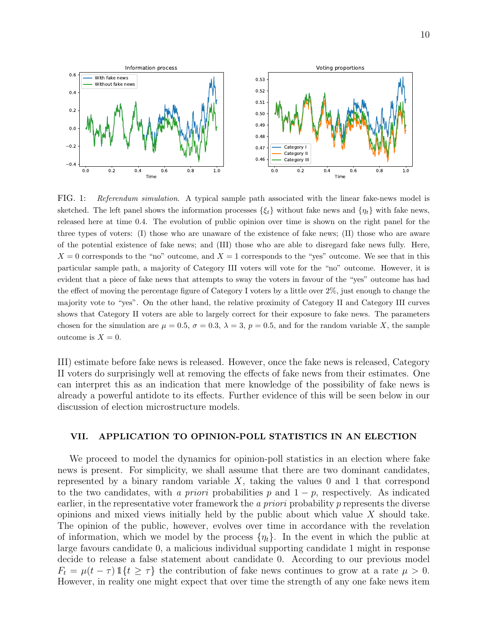

FIG. 1: Referendum simulation. A typical sample path associated with the linear fake-news model is sketched. The left panel shows the information processes  $\{\xi_t\}$  without fake news and  $\{\eta_t\}$  with fake news, released here at time 0.4. The evolution of public opinion over time is shown on the right panel for the three types of voters: (I) those who are unaware of the existence of fake news; (II) those who are aware of the potential existence of fake news; and (III) those who are able to disregard fake news fully. Here,  $X = 0$  corresponds to the "no" outcome, and  $X = 1$  corresponds to the "yes" outcome. We see that in this particular sample path, a majority of Category III voters will vote for the "no" outcome. However, it is evident that a piece of fake news that attempts to sway the voters in favour of the "yes" outcome has had the effect of moving the percentage figure of Category I voters by a little over 2%, just enough to change the majority vote to "yes". On the other hand, the relative proximity of Category II and Category III curves shows that Category II voters are able to largely correct for their exposure to fake news. The parameters chosen for the simulation are  $\mu = 0.5$ ,  $\sigma = 0.3$ ,  $\lambda = 3$ ,  $p = 0.5$ , and for the random variable X, the sample outcome is  $X = 0$ .

III) estimate before fake news is released. However, once the fake news is released, Category II voters do surprisingly well at removing the effects of fake news from their estimates. One can interpret this as an indication that mere knowledge of the possibility of fake news is already a powerful antidote to its effects. Further evidence of this will be seen below in our discussion of election microstructure models.

# VII. APPLICATION TO OPINION-POLL STATISTICS IN AN ELECTION

We proceed to model the dynamics for opinion-poll statistics in an election where fake news is present. For simplicity, we shall assume that there are two dominant candidates, represented by a binary random variable  $X$ , taking the values 0 and 1 that correspond to the two candidates, with a priori probabilities p and  $1 - p$ , respectively. As indicated earlier, in the representative voter framework the *a priori* probability p represents the diverse opinions and mixed views initially held by the public about which value  $X$  should take. The opinion of the public, however, evolves over time in accordance with the revelation of information, which we model by the process  $\{\eta_t\}$ . In the event in which the public at large favours candidate 0, a malicious individual supporting candidate 1 might in response decide to release a false statement about candidate 0. According to our previous model  $F_t = \mu(t - \tau) \mathbb{1}\{t \geq \tau\}$  the contribution of fake news continues to grow at a rate  $\mu > 0$ . However, in reality one might expect that over time the strength of any one fake news item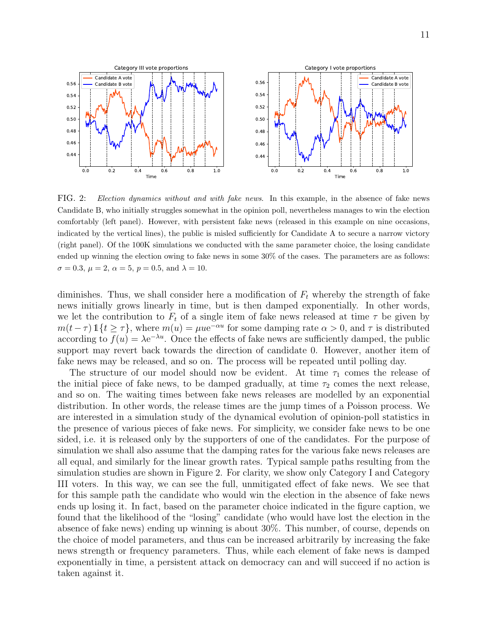

FIG. 2: Election dynamics without and with fake news. In this example, in the absence of fake news Candidate B, who initially struggles somewhat in the opinion poll, nevertheless manages to win the election comfortably (left panel). However, with persistent fake news (released in this example on nine occasions, indicated by the vertical lines), the public is misled sufficiently for Candidate A to secure a narrow victory (right panel). Of the 100K simulations we conducted with the same parameter choice, the losing candidate ended up winning the election owing to fake news in some 30% of the cases. The parameters are as follows:  $\sigma = 0.3, \mu = 2, \alpha = 5, p = 0.5, \text{ and } \lambda = 10.$ 

diminishes. Thus, we shall consider here a modification of  $F_t$  whereby the strength of fake news initially grows linearly in time, but is then damped exponentially. In other words, we let the contribution to  $F_t$  of a single item of fake news released at time  $\tau$  be given by  $m(t-\tau) \mathbb{1}{t \geq \tau}$ , where  $m(u) = \mu u e^{-\alpha u}$  for some damping rate  $\alpha > 0$ , and  $\tau$  is distributed according to  $f(u) = \lambda e^{-\lambda u}$ . Once the effects of fake news are sufficiently damped, the public support may revert back towards the direction of candidate 0. However, another item of fake news may be released, and so on. The process will be repeated until polling day.

The structure of our model should now be evident. At time  $\tau_1$  comes the release of the initial piece of fake news, to be damped gradually, at time  $\tau_2$  comes the next release, and so on. The waiting times between fake news releases are modelled by an exponential distribution. In other words, the release times are the jump times of a Poisson process. We are interested in a simulation study of the dynamical evolution of opinion-poll statistics in the presence of various pieces of fake news. For simplicity, we consider fake news to be one sided, i.e. it is released only by the supporters of one of the candidates. For the purpose of simulation we shall also assume that the damping rates for the various fake news releases are all equal, and similarly for the linear growth rates. Typical sample paths resulting from the simulation studies are shown in Figure 2. For clarity, we show only Category I and Category III voters. In this way, we can see the full, unmitigated effect of fake news. We see that for this sample path the candidate who would win the election in the absence of fake news ends up losing it. In fact, based on the parameter choice indicated in the figure caption, we found that the likelihood of the "losing" candidate (who would have lost the election in the absence of fake news) ending up winning is about 30%. This number, of course, depends on the choice of model parameters, and thus can be increased arbitrarily by increasing the fake news strength or frequency parameters. Thus, while each element of fake news is damped exponentially in time, a persistent attack on democracy can and will succeed if no action is taken against it.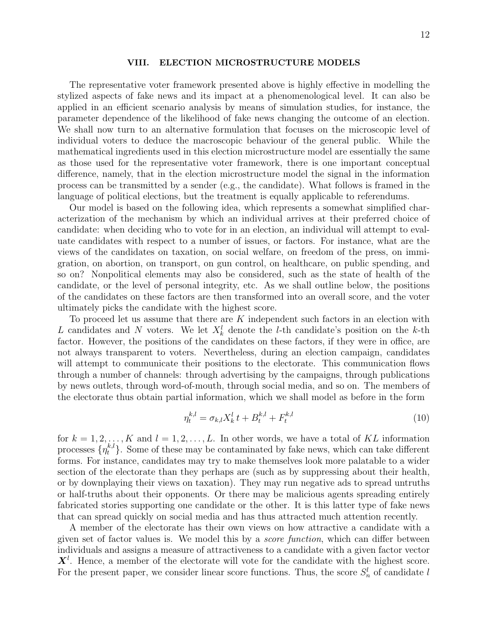## VIII. ELECTION MICROSTRUCTURE MODELS

The representative voter framework presented above is highly effective in modelling the stylized aspects of fake news and its impact at a phenomenological level. It can also be applied in an efficient scenario analysis by means of simulation studies, for instance, the parameter dependence of the likelihood of fake news changing the outcome of an election. We shall now turn to an alternative formulation that focuses on the microscopic level of individual voters to deduce the macroscopic behaviour of the general public. While the mathematical ingredients used in this election microstructure model are essentially the same as those used for the representative voter framework, there is one important conceptual difference, namely, that in the election microstructure model the signal in the information process can be transmitted by a sender (e.g., the candidate). What follows is framed in the language of political elections, but the treatment is equally applicable to referendums.

Our model is based on the following idea, which represents a somewhat simplified characterization of the mechanism by which an individual arrives at their preferred choice of candidate: when deciding who to vote for in an election, an individual will attempt to evaluate candidates with respect to a number of issues, or factors. For instance, what are the views of the candidates on taxation, on social welfare, on freedom of the press, on immigration, on abortion, on transport, on gun control, on healthcare, on public spending, and so on? Nonpolitical elements may also be considered, such as the state of health of the candidate, or the level of personal integrity, etc. As we shall outline below, the positions of the candidates on these factors are then transformed into an overall score, and the voter ultimately picks the candidate with the highest score.

To proceed let us assume that there are K independent such factors in an election with L candidates and N voters. We let  $X_k^l$  denote the l-th candidate's position on the k-th factor. However, the positions of the candidates on these factors, if they were in office, are not always transparent to voters. Nevertheless, during an election campaign, candidates will attempt to communicate their positions to the electorate. This communication flows through a number of channels: through advertising by the campaigns, through publications by news outlets, through word-of-mouth, through social media, and so on. The members of the electorate thus obtain partial information, which we shall model as before in the form

$$
\eta_t^{k,l} = \sigma_{k,l} X_k^l t + B_t^{k,l} + F_t^{k,l} \tag{10}
$$

for  $k = 1, 2, \ldots, K$  and  $l = 1, 2, \ldots, L$ . In other words, we have a total of KL information processes  $\{\eta_t^{k,l}\}\$ . Some of these may be contaminated by fake news, which can take different forms. For instance, candidates may try to make themselves look more palatable to a wider section of the electorate than they perhaps are (such as by suppressing about their health, or by downplaying their views on taxation). They may run negative ads to spread untruths or half-truths about their opponents. Or there may be malicious agents spreading entirely fabricated stories supporting one candidate or the other. It is this latter type of fake news that can spread quickly on social media and has thus attracted much attention recently.

A member of the electorate has their own views on how attractive a candidate with a given set of factor values is. We model this by a score function, which can differ between individuals and assigns a measure of attractiveness to a candidate with a given factor vector  $\mathbf{X}^l$ . Hence, a member of the electorate will vote for the candidate with the highest score. For the present paper, we consider linear score functions. Thus, the score  $S_n^l$  of candidate l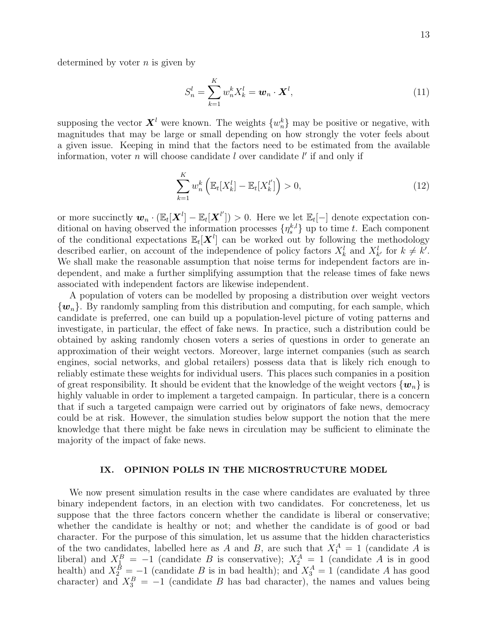determined by voter  $n$  is given by

$$
S_n^l = \sum_{k=1}^K w_n^k X_k^l = \boldsymbol{w}_n \cdot \boldsymbol{X}^l,
$$
\n(11)

supposing the vector  $\boldsymbol{X}^l$  were known. The weights  $\{w_n^k\}$  may be positive or negative, with magnitudes that may be large or small depending on how strongly the voter feels about a given issue. Keeping in mind that the factors need to be estimated from the available information, voter  $n$  will choose candidate  $l$  over candidate  $l'$  if and only if

$$
\sum_{k=1}^{K} w_n^k \left( \mathbb{E}_t[X_k^l] - \mathbb{E}_t[X_k^{l'}] \right) > 0,
$$
\n(12)

or more succinctly  $w_n \cdot (\mathbb{E}_t[\boldsymbol{X}^l] - \mathbb{E}_t[\boldsymbol{X}^{l'}]) > 0$ . Here we let  $\mathbb{E}_t[-]$  denote expectation conditional on having observed the information processes  $\{\eta_s^{k,l}\}\$ up to time t. Each component of the conditional expectations  $\mathbb{E}_t[\boldsymbol{X}^l]$  can be worked out by following the methodology described earlier, on account of the independence of policy factors  $X_k^l$  and  $X_{k'}^l$  for  $k \neq k'$ . We shall make the reasonable assumption that noise terms for independent factors are independent, and make a further simplifying assumption that the release times of fake news associated with independent factors are likewise independent.

A population of voters can be modelled by proposing a distribution over weight vectors  $\{w_n\}$ . By randomly sampling from this distribution and computing, for each sample, which candidate is preferred, one can build up a population-level picture of voting patterns and investigate, in particular, the effect of fake news. In practice, such a distribution could be obtained by asking randomly chosen voters a series of questions in order to generate an approximation of their weight vectors. Moreover, large internet companies (such as search engines, social networks, and global retailers) possess data that is likely rich enough to reliably estimate these weights for individual users. This places such companies in a position of great responsibility. It should be evident that the knowledge of the weight vectors  $\{w_n\}$  is highly valuable in order to implement a targeted campaign. In particular, there is a concern that if such a targeted campaign were carried out by originators of fake news, democracy could be at risk. However, the simulation studies below support the notion that the mere knowledge that there might be fake news in circulation may be sufficient to eliminate the majority of the impact of fake news.

# IX. OPINION POLLS IN THE MICROSTRUCTURE MODEL

We now present simulation results in the case where candidates are evaluated by three binary independent factors, in an election with two candidates. For concreteness, let us suppose that the three factors concern whether the candidate is liberal or conservative; whether the candidate is healthy or not; and whether the candidate is of good or bad character. For the purpose of this simulation, let us assume that the hidden characteristics of the two candidates, labelled here as A and B, are such that  $X_1^A = 1$  (candidate A is liberal) and  $X_1^B = -1$  (candidate B is conservative);  $X_2^A = 1$  (candidate A is in good health) and  $X_2^B = -1$  (candidate B is in bad health); and  $X_3^A = 1$  (candidate A has good character) and  $X_3^B = -1$  (candidate B has bad character), the names and values being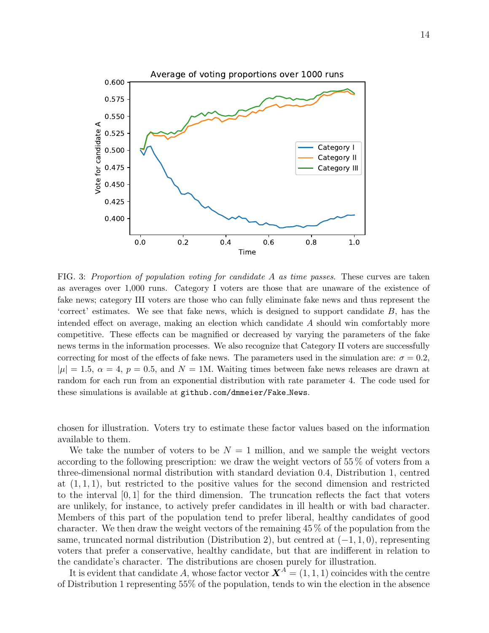

FIG. 3: Proportion of population voting for candidate A as time passes. These curves are taken as averages over 1,000 runs. Category I voters are those that are unaware of the existence of fake news; category III voters are those who can fully eliminate fake news and thus represent the 'correct' estimates. We see that fake news, which is designed to support candidate B, has the intended effect on average, making an election which candidate A should win comfortably more competitive. These effects can be magnified or decreased by varying the parameters of the fake news terms in the information processes. We also recognize that Category II voters are successfully correcting for most of the effects of fake news. The parameters used in the simulation are:  $\sigma = 0.2$ ,  $|\mu| = 1.5, \ \alpha = 4, \ p = 0.5, \text{ and } N = 1$ M. Waiting times between fake news releases are drawn at random for each run from an exponential distribution with rate parameter 4. The code used for these simulations is available at github.com/dmmeier/Fake News.

chosen for illustration. Voters try to estimate these factor values based on the information available to them.

We take the number of voters to be  $N = 1$  million, and we sample the weight vectors according to the following prescription: we draw the weight vectors of 55 % of voters from a three-dimensional normal distribution with standard deviation 0.4, Distribution 1, centred at  $(1, 1, 1)$ , but restricted to the positive values for the second dimension and restricted to the interval  $[0, 1]$  for the third dimension. The truncation reflects the fact that voters are unlikely, for instance, to actively prefer candidates in ill health or with bad character. Members of this part of the population tend to prefer liberal, healthy candidates of good character. We then draw the weight vectors of the remaining 45 % of the population from the same, truncated normal distribution (Distribution 2), but centred at  $(-1, 1, 0)$ , representing voters that prefer a conservative, healthy candidate, but that are indifferent in relation to the candidate's character. The distributions are chosen purely for illustration.

It is evident that candidate A, whose factor vector  $\mathbf{X}^A = (1, 1, 1)$  coincides with the centre of Distribution 1 representing 55% of the population, tends to win the election in the absence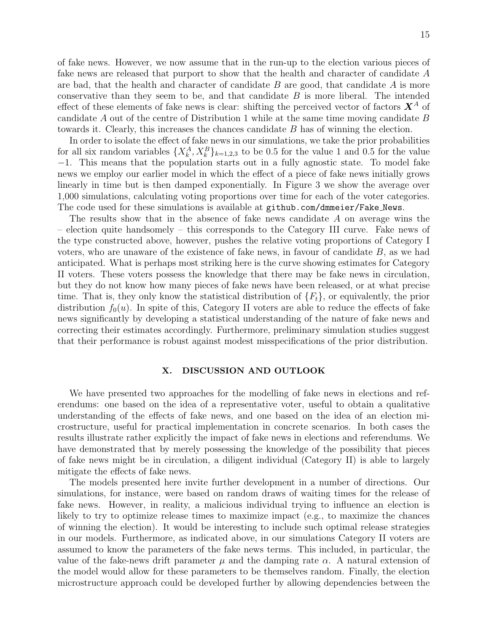of fake news. However, we now assume that in the run-up to the election various pieces of fake news are released that purport to show that the health and character of candidate A are bad, that the health and character of candidate  $B$  are good, that candidate  $A$  is more conservative than they seem to be, and that candidate B is more liberal. The intended effect of these elements of fake news is clear: shifting the perceived vector of factors  $X^A$  of candidate A out of the centre of Distribution 1 while at the same time moving candidate B towards it. Clearly, this increases the chances candidate B has of winning the election.

In order to isolate the effect of fake news in our simulations, we take the prior probabilities for all six random variables  $\{X_k^A, X_k^B\}_{k=1,2,3}$  to be 0.5 for the value 1 and 0.5 for the value −1. This means that the population starts out in a fully agnostic state. To model fake news we employ our earlier model in which the effect of a piece of fake news initially grows linearly in time but is then damped exponentially. In Figure 3 we show the average over 1,000 simulations, calculating voting proportions over time for each of the voter categories. The code used for these simulations is available at github.com/dmmeier/Fake\_News.

The results show that in the absence of fake news candidate A on average wins the – election quite handsomely – this corresponds to the Category III curve. Fake news of the type constructed above, however, pushes the relative voting proportions of Category I voters, who are unaware of the existence of fake news, in favour of candidate B, as we had anticipated. What is perhaps most striking here is the curve showing estimates for Category II voters. These voters possess the knowledge that there may be fake news in circulation, but they do not know how many pieces of fake news have been released, or at what precise time. That is, they only know the statistical distribution of  $\{F_t\}$ , or equivalently, the prior distribution  $f_0(u)$ . In spite of this, Category II voters are able to reduce the effects of fake news significantly by developing a statistical understanding of the nature of fake news and correcting their estimates accordingly. Furthermore, preliminary simulation studies suggest that their performance is robust against modest misspecifications of the prior distribution.

# X. DISCUSSION AND OUTLOOK

We have presented two approaches for the modelling of fake news in elections and referendums: one based on the idea of a representative voter, useful to obtain a qualitative understanding of the effects of fake news, and one based on the idea of an election microstructure, useful for practical implementation in concrete scenarios. In both cases the results illustrate rather explicitly the impact of fake news in elections and referendums. We have demonstrated that by merely possessing the knowledge of the possibility that pieces of fake news might be in circulation, a diligent individual (Category II) is able to largely mitigate the effects of fake news.

The models presented here invite further development in a number of directions. Our simulations, for instance, were based on random draws of waiting times for the release of fake news. However, in reality, a malicious individual trying to influence an election is likely to try to optimize release times to maximize impact (e.g., to maximize the chances of winning the election). It would be interesting to include such optimal release strategies in our models. Furthermore, as indicated above, in our simulations Category II voters are assumed to know the parameters of the fake news terms. This included, in particular, the value of the fake-news drift parameter  $\mu$  and the damping rate  $\alpha$ . A natural extension of the model would allow for these parameters to be themselves random. Finally, the election microstructure approach could be developed further by allowing dependencies between the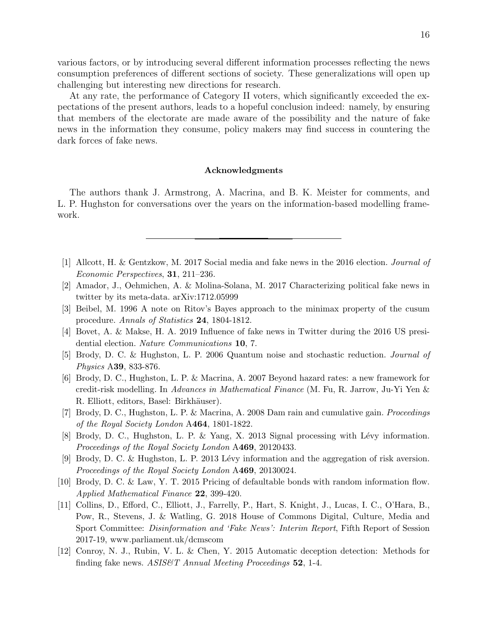various factors, or by introducing several different information processes reflecting the news consumption preferences of different sections of society. These generalizations will open up challenging but interesting new directions for research.

At any rate, the performance of Category II voters, which significantly exceeded the expectations of the present authors, leads to a hopeful conclusion indeed: namely, by ensuring that members of the electorate are made aware of the possibility and the nature of fake news in the information they consume, policy makers may find success in countering the dark forces of fake news.

# Acknowledgments

The authors thank J. Armstrong, A. Macrina, and B. K. Meister for comments, and L. P. Hughston for conversations over the years on the information-based modelling framework.

- [1] Allcott, H. & Gentzkow, M. 2017 Social media and fake news in the 2016 election. Journal of Economic Perspectives, 31, 211–236.
- [2] Amador, J., Oehmichen, A. & Molina-Solana, M. 2017 Characterizing political fake news in twitter by its meta-data. arXiv:1712.05999
- [3] Beibel, M. 1996 A note on Ritov's Bayes approach to the minimax property of the cusum procedure. Annals of Statistics 24, 1804-1812.
- [4] Bovet, A. & Makse, H. A. 2019 Influence of fake news in Twitter during the 2016 US presidential election. Nature Communications 10, 7.
- [5] Brody, D. C. & Hughston, L. P. 2006 Quantum noise and stochastic reduction. Journal of Physics A39, 833-876.
- [6] Brody, D. C., Hughston, L. P. & Macrina, A. 2007 Beyond hazard rates: a new framework for credit-risk modelling. In Advances in Mathematical Finance (M. Fu, R. Jarrow, Ju-Yi Yen & R. Elliott, editors, Basel: Birkhäuser).
- [7] Brody, D. C., Hughston, L. P. & Macrina, A. 2008 Dam rain and cumulative gain. Proceedings of the Royal Society London A464, 1801-1822.
- [8] Brody, D. C., Hughston, L. P. & Yang, X. 2013 Signal processing with Lévy information. Proceedings of the Royal Society London A469, 20120433.
- [9] Brody, D. C. & Hughston, L. P. 2013 Lévy information and the aggregation of risk aversion. Proceedings of the Royal Society London A469, 20130024.
- [10] Brody, D. C. & Law, Y. T. 2015 Pricing of defaultable bonds with random information flow. Applied Mathematical Finance 22, 399-420.
- [11] Collins, D., Efford, C., Elliott, J., Farrelly, P., Hart, S. Knight, J., Lucas, I. C., O'Hara, B., Pow, R., Stevens, J. & Watling, G. 2018 House of Commons Digital, Culture, Media and Sport Committee: Disinformation and 'Fake News': Interim Report, Fifth Report of Session 2017-19, www.parliament.uk/dcmscom
- [12] Conroy, N. J., Rubin, V. L. & Chen, Y. 2015 Automatic deception detection: Methods for finding fake news. ASIS&T Annual Meeting Proceedings 52, 1-4.